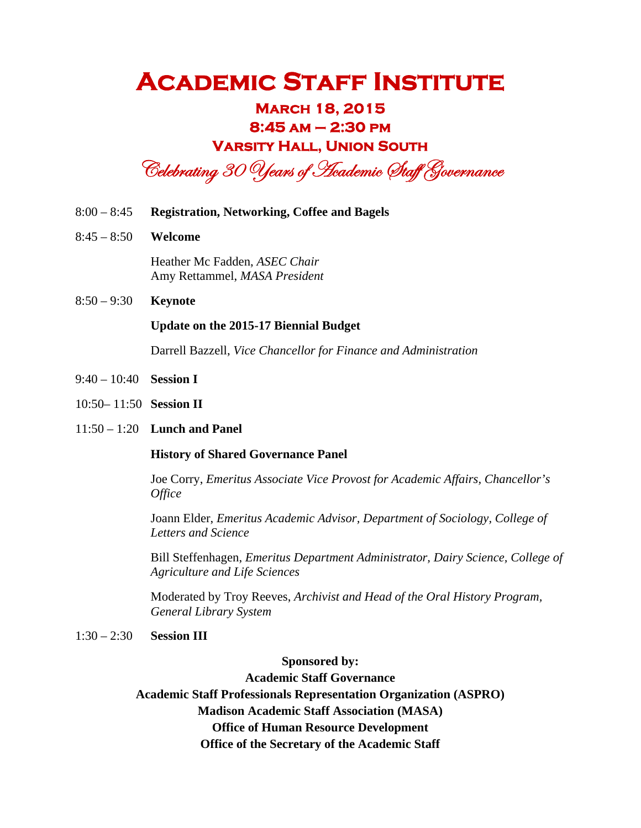### **March 18, 2015 8:45 am – 2:30 pm Varsity Hall, Union South**

Celebrating 30 Years of Heademic Staff Governance

- 8:00 8:45 **Registration, Networking, Coffee and Bagels**
- 8:45 8:50 **Welcome**

Heather Mc Fadden, *ASEC Chair* Amy Rettammel, *MASA President* 

8:50 – 9:30 **Keynote**

#### **Update on the 2015-17 Biennial Budget**

Darrell Bazzell, *Vice Chancellor for Finance and Administration* 

- 9:40 10:40 **Session I**
- 10:50– 11:50 **Session II**
- 11:50 1:20 **Lunch and Panel**

#### **History of Shared Governance Panel**

Joe Corry, *Emeritus Associate Vice Provost for Academic Affairs, Chancellor's Office*

Joann Elder, *Emeritus Academic Advisor, Department of Sociology, College of Letters and Science*

Bill Steffenhagen, *Emeritus Department Administrator, Dairy Science, College of Agriculture and Life Sciences*

Moderated by Troy Reeves, *Archivist and Head of the Oral History Program, General Library System* 

1:30 – 2:30 **Session III**

**Sponsored by:** 

**Academic Staff Governance Academic Staff Professionals Representation Organization (ASPRO) Madison Academic Staff Association (MASA) Office of Human Resource Development Office of the Secretary of the Academic Staff**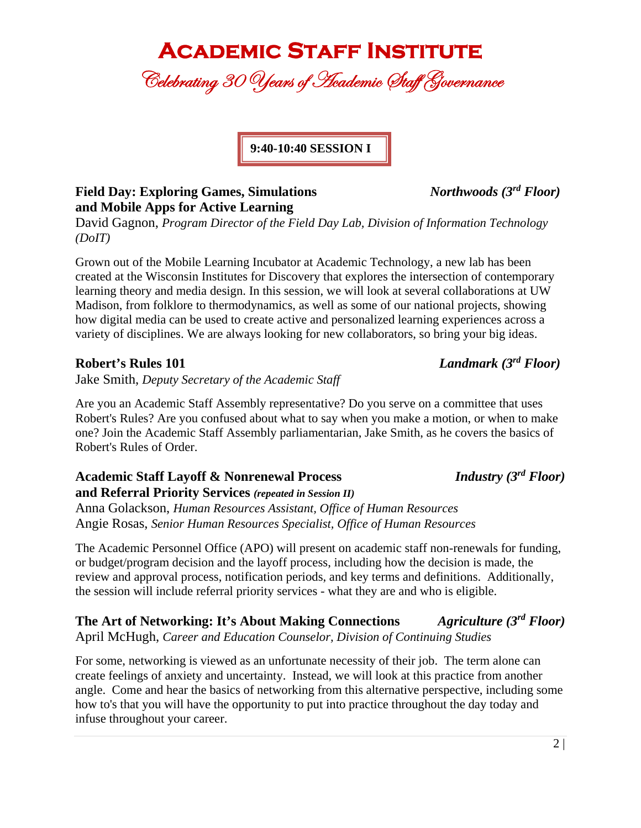Celebrating 30 Years of Hcademic Staff Governance

**9:40-10:40 SESSION I** 

### **Field Day: Exploring Games, Simulations** *Northwoods (3rd Floor)*  **and Mobile Apps for Active Learning**

David Gagnon, *Program Director of the Field Day Lab, Division of Information Technology (DoIT)* 

Grown out of the Mobile Learning Incubator at Academic Technology, a new lab has been created at the Wisconsin Institutes for Discovery that explores the intersection of contemporary learning theory and media design. In this session, we will look at several collaborations at UW Madison, from folklore to thermodynamics, as well as some of our national projects, showing how digital media can be used to create active and personalized learning experiences across a variety of disciplines. We are always looking for new collaborators, so bring your big ideas.

### **Robert's Rules 101** *Landmark (3rd Floor)*

Jake Smith, *Deputy Secretary of the Academic Staff* 

Are you an Academic Staff Assembly representative? Do you serve on a committee that uses Robert's Rules? Are you confused about what to say when you make a motion, or when to make one? Join the Academic Staff Assembly parliamentarian, Jake Smith, as he covers the basics of Robert's Rules of Order.

**Academic Staff Layoff & Nonrenewal Process** *Industry (3rd Floor)*  **and Referral Priority Services** *(repeated in Session II)* Anna Golackson, *Human Resources Assistant, Office of Human Resources* Angie Rosas, *Senior Human Resources Specialist, Office of Human Resources*

The Academic Personnel Office (APO) will present on academic staff non-renewals for funding, or budget/program decision and the layoff process, including how the decision is made, the review and approval process, notification periods, and key terms and definitions. Additionally, the session will include referral priority services - what they are and who is eligible.

**The Art of Networking: It's About Making Connections** *Agriculture (3rd Floor)*  April McHugh, *Career and Education Counselor, Division of Continuing Studies*

For some, networking is viewed as an unfortunate necessity of their job. The term alone can create feelings of anxiety and uncertainty. Instead, we will look at this practice from another angle. Come and hear the basics of networking from this alternative perspective, including some how to's that you will have the opportunity to put into practice throughout the day today and infuse throughout your career.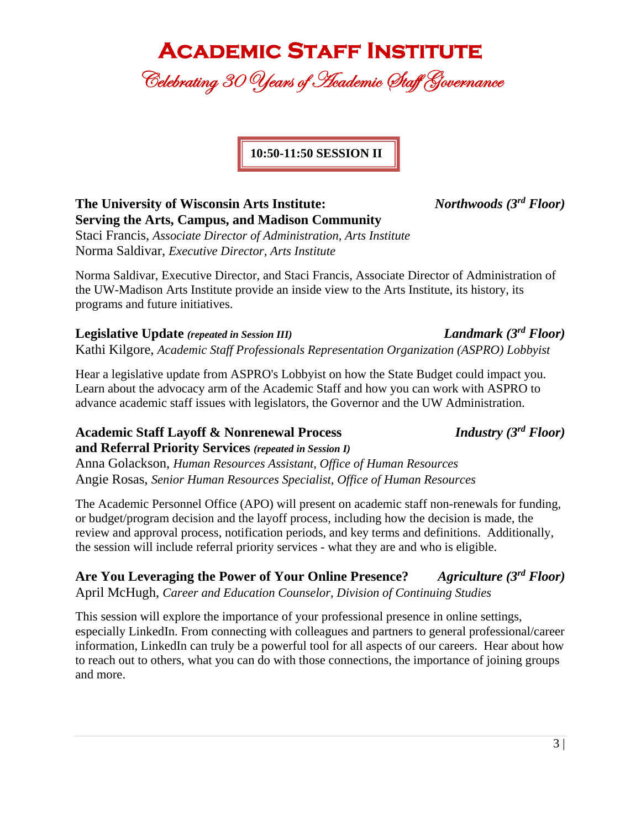Celebrating 30 Years of Hcademic Staff Governance

**10:50-11:50 SESSION II** 

### **The University of Wisconsin Arts Institute:** *Northwoods (3rd Floor)*  **Serving the Arts, Campus, and Madison Community**

Staci Francis, *Associate Director of Administration, Arts Institute* Norma Saldivar, *Executive Director, Arts Institute* 

Norma Saldivar, Executive Director, and Staci Francis, Associate Director of Administration of the UW-Madison Arts Institute provide an inside view to the Arts Institute, its history, its programs and future initiatives.

**Legislative Update** *(repeated in Session III) Landmark (3rd Floor)*  Kathi Kilgore, *Academic Staff Professionals Representation Organization (ASPRO) Lobbyist*

Hear a legislative update from ASPRO's Lobbyist on how the State Budget could impact you. Learn about the advocacy arm of the Academic Staff and how you can work with ASPRO to advance academic staff issues with legislators, the Governor and the UW Administration.

### **Academic Staff Layoff & Nonrenewal Process** *Industry (3rd Floor)*

**and Referral Priority Services** *(repeated in Session I)* Anna Golackson, *Human Resources Assistant, Office of Human Resources* Angie Rosas, *Senior Human Resources Specialist, Office of Human Resources*

The Academic Personnel Office (APO) will present on academic staff non-renewals for funding, or budget/program decision and the layoff process, including how the decision is made, the review and approval process, notification periods, and key terms and definitions. Additionally, the session will include referral priority services - what they are and who is eligible.

**Are You Leveraging the Power of Your Online Presence?** *Agriculture (3rd Floor)*  April McHugh, *Career and Education Counselor, Division of Continuing Studies*

This session will explore the importance of your professional presence in online settings, especially LinkedIn. From connecting with colleagues and partners to general professional/career information, LinkedIn can truly be a powerful tool for all aspects of our careers. Hear about how to reach out to others, what you can do with those connections, the importance of joining groups and more.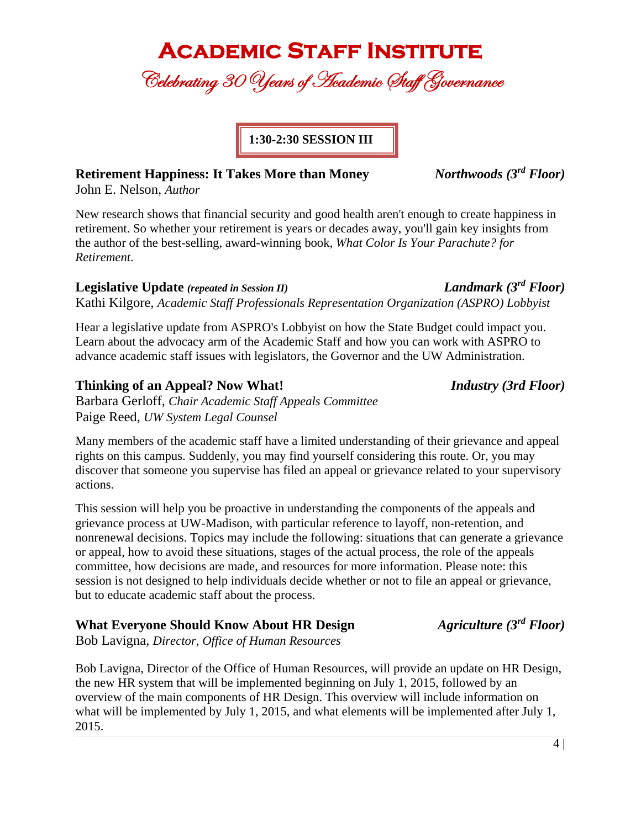Celebrating 30 Years of Heademic Staff Governance

**1:30-2:30 SESSION III** 

### **Retirement Happiness: It Takes More than Money** *Northwoods (3rd Floor)*

John E. Nelson, *Author*

New research shows that financial security and good health aren't enough to create happiness in retirement. So whether your retirement is years or decades away, you'll gain key insights from the author of the best-selling, award-winning book, *What Color Is Your Parachute? for Retirement*.

### **Legislative Update** *(repeated in Session II) Landmark (3rd Floor)*

Kathi Kilgore, *Academic Staff Professionals Representation Organization (ASPRO) Lobbyist*

Hear a legislative update from ASPRO's Lobbyist on how the State Budget could impact you. Learn about the advocacy arm of the Academic Staff and how you can work with ASPRO to advance academic staff issues with legislators, the Governor and the UW Administration.

### **Thinking of an Appeal? Now What!** *Industry (3rd Floor)*

Barbara Gerloff, *Chair Academic Staff Appeals Committee* Paige Reed, *UW System Legal Counsel*

Many members of the academic staff have a limited understanding of their grievance and appeal rights on this campus. Suddenly, you may find yourself considering this route. Or, you may discover that someone you supervise has filed an appeal or grievance related to your supervisory actions.

This session will help you be proactive in understanding the components of the appeals and grievance process at UW-Madison, with particular reference to layoff, non-retention, and nonrenewal decisions. Topics may include the following: situations that can generate a grievance or appeal, how to avoid these situations, stages of the actual process, the role of the appeals committee, how decisions are made, and resources for more information. Please note: this session is not designed to help individuals decide whether or not to file an appeal or grievance, but to educate academic staff about the process.

### **What Everyone Should Know About HR Design** *Agriculture (3rd Floor)*

Bob Lavigna, *Director, Office of Human Resources*

Bob Lavigna, Director of the Office of Human Resources, will provide an update on HR Design, the new HR system that will be implemented beginning on July 1, 2015, followed by an overview of the main components of HR Design. This overview will include information on what will be implemented by July 1, 2015, and what elements will be implemented after July 1, 2015.